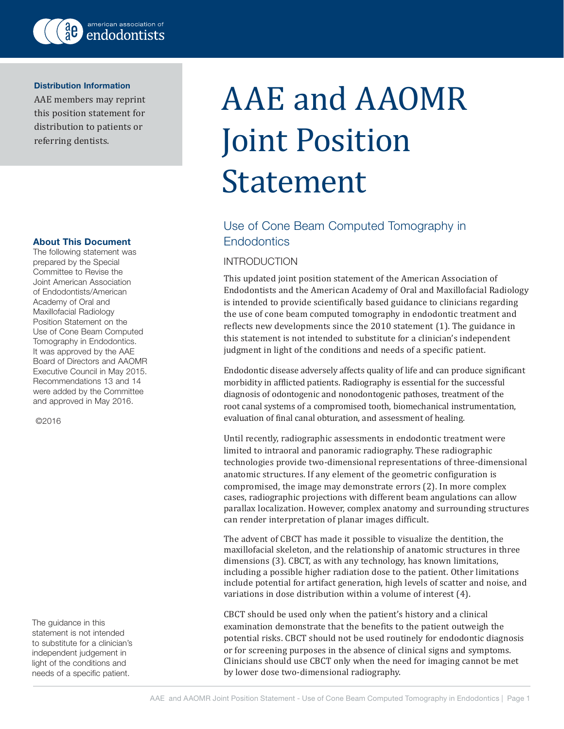

#### Distribution Information

AAE members may reprint this position statement for distribution to patients or referring dentists.

## About This Document

The following statement was prepared by the Special Committee to Revise the Joint American Association of Endodontists/American Academy of Oral and Maxillofacial Radiology Position Statement on the Use of Cone Beam Computed Tomography in Endodontics. It was approved by the AAE Board of Directors and AAOMR Executive Council in May 2015. Recommendations 13 and 14 were added by the Committee and approved in May 2016.

©2016

The guidance in this statement is not intended to substitute for a clinician's independent judgement in light of the conditions and needs of a specific patient.

# AAE and AAOMR Joint Position Statement

# Use of Cone Beam Computed Tomography in **Endodontics**

# INTRODUCTION

This updated joint position statement of the American Association of Endodontists and the American Academy of Oral and Maxillofacial Radiology is intended to provide scientifically based guidance to clinicians regarding the use of cone beam computed tomography in endodontic treatment and reflects new developments since the 2010 statement (1). The guidance in this statement is not intended to substitute for a clinician's independent judgment in light of the conditions and needs of a specific patient.

Endodontic disease adversely affects quality of life and can produce significant morbidity in afflicted patients. Radiography is essential for the successful diagnosis of odontogenic and nonodontogenic pathoses, treatment of the root canal systems of a compromised tooth, biomechanical instrumentation, evaluation of final canal obturation, and assessment of healing.

Until recently, radiographic assessments in endodontic treatment were limited to intraoral and panoramic radiography. These radiographic technologies provide two-dimensional representations of three-dimensional anatomic structures. If any element of the geometric configuration is compromised, the image may demonstrate errors (2). In more complex cases, radiographic projections with different beam angulations can allow parallax localization. However, complex anatomy and surrounding structures can render interpretation of planar images difficult.

The advent of CBCT has made it possible to visualize the dentition, the maxillofacial skeleton, and the relationship of anatomic structures in three dimensions (3). CBCT, as with any technology, has known limitations, including a possible higher radiation dose to the patient. Other limitations include potential for artifact generation, high levels of scatter and noise, and variations in dose distribution within a volume of interest (4).

CBCT should be used only when the patient's history and a clinical examination demonstrate that the benefits to the patient outweigh the potential risks. CBCT should not be used routinely for endodontic diagnosis or for screening purposes in the absence of clinical signs and symptoms. Clinicians should use CBCT only when the need for imaging cannot be met by lower dose two-dimensional radiography.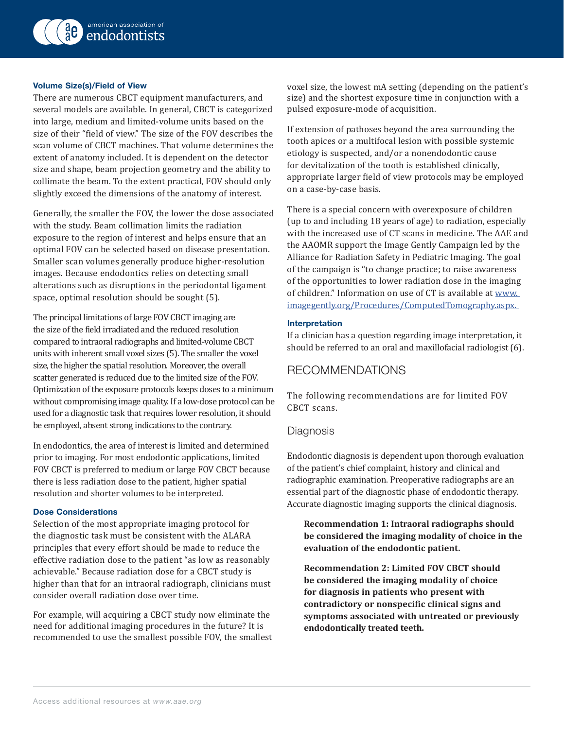

#### Volume Size(s)/Field of View

There are numerous CBCT equipment manufacturers, and several models are available. In general, CBCT is categorized into large, medium and limited-volume units based on the size of their "field of view." The size of the FOV describes the scan volume of CBCT machines. That volume determines the extent of anatomy included. It is dependent on the detector size and shape, beam projection geometry and the ability to collimate the beam. To the extent practical, FOV should only slightly exceed the dimensions of the anatomy of interest.

Generally, the smaller the FOV, the lower the dose associated with the study. Beam collimation limits the radiation exposure to the region of interest and helps ensure that an optimal FOV can be selected based on disease presentation. Smaller scan volumes generally produce higher-resolution images. Because endodontics relies on detecting small alterations such as disruptions in the periodontal ligament space, optimal resolution should be sought (5).

The principal limitations of large FOV CBCT imaging are the size of the field irradiated and the reduced resolution compared to intraoral radiographs and limited-volume CBCT units with inherent small voxel sizes (5). The smaller the voxel size, the higher the spatial resolution. Moreover, the overall scatter generated is reduced due to the limited size of the FOV. Optimization of the exposure protocols keeps doses to a minimum without compromising image quality. If a low-dose protocol can be used for a diagnostic task that requires lower resolution, it should be employed, absent strong indications to the contrary.

In endodontics, the area of interest is limited and determined prior to imaging. For most endodontic applications, limited FOV CBCT is preferred to medium or large FOV CBCT because there is less radiation dose to the patient, higher spatial resolution and shorter volumes to be interpreted.

#### Dose Considerations

Selection of the most appropriate imaging protocol for the diagnostic task must be consistent with the ALARA principles that every effort should be made to reduce the effective radiation dose to the patient "as low as reasonably achievable." Because radiation dose for a CBCT study is higher than that for an intraoral radiograph, clinicians must consider overall radiation dose over time.

For example, will acquiring a CBCT study now eliminate the need for additional imaging procedures in the future? It is recommended to use the smallest possible FOV, the smallest voxel size, the lowest mA setting (depending on the patient's size) and the shortest exposure time in conjunction with a pulsed exposure-mode of acquisition.

If extension of pathoses beyond the area surrounding the tooth apices or a multifocal lesion with possible systemic etiology is suspected, and/or a nonendodontic cause for devitalization of the tooth is established clinically, appropriate larger field of view protocols may be employed on a case-by-case basis.

There is a special concern with overexposure of children (up to and including 18 years of age) to radiation, especially with the increased use of CT scans in medicine. The AAE and the AAOMR support the Image Gently Campaign led by the Alliance for Radiation Safety in Pediatric Imaging. The goal of the campaign is "to change practice; to raise awareness of the opportunities to lower radiation dose in the imaging of children." Information on use of CT is available at www. imagegently.org/Procedures/ComputedTomography.aspx.

#### Interpretation

If a clinician has a question regarding image interpretation, it should be referred to an oral and maxillofacial radiologist (6).

# RECOMMENDATIONS

The following recommendations are for limited FOV CBCT scans.

#### **Diagnosis**

Endodontic diagnosis is dependent upon thorough evaluation of the patient's chief complaint, history and clinical and radiographic examination. Preoperative radiographs are an essential part of the diagnostic phase of endodontic therapy. Accurate diagnostic imaging supports the clinical diagnosis.

# **Recommendation 1: Intraoral radiographs should be considered the imaging modality of choice in the evaluation of the endodontic patient.**

**Recommendation 2: Limited FOV CBCT should be considered the imaging modality of choice for diagnosis in patients who present with contradictory or nonspecific clinical signs and symptoms associated with untreated or previously endodontically treated teeth.**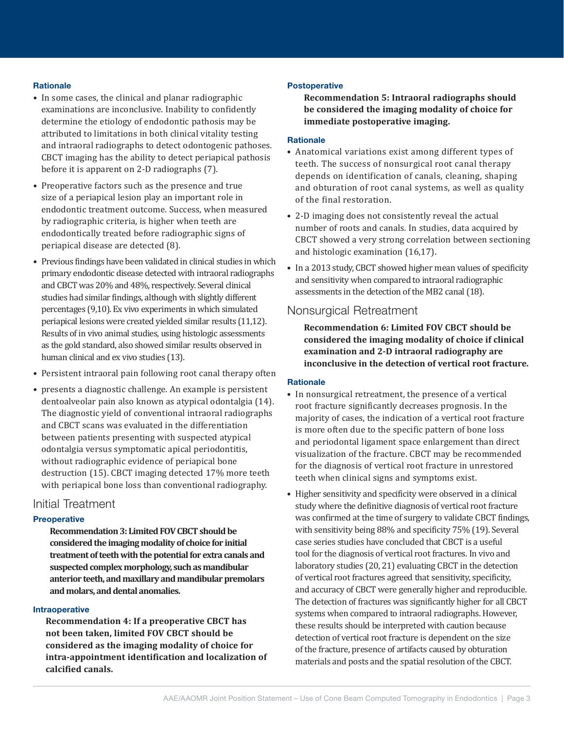#### **Rationale**

- In some cases, the clinical and planar radiographic examinations are inconclusive. Inability to confidently determine the etiology of endodontic pathosis may be attributed to limitations in both clinical vitality testing and intraoral radiographs to detect odontogenic pathoses. CBCT imaging has the ability to detect periapical pathosis before it is apparent on 2-D radiographs (7).
- Preoperative factors such as the presence and true size of a periapical lesion play an important role in endodontic treatment outcome. Success, when measured by radiographic criteria, is higher when teeth are endodontically treated before radiographic signs of periapical disease are detected (8).
- Previous findings have been validated in clinical studies in which primary endodontic disease detected with intraoral radiographs and CBCT was 20% and 48%, respectively. Several clinical studies had similar findings, although with slightly different percentages (9,10). Ex vivo experiments in which simulated periapical lesions were created yielded similar results (11,12). Results of in vivo animal studies, using histologic assessments as the gold standard, also showed similar results observed in human clinical and ex vivo studies (13).
- Persistent intraoral pain following root canal therapy often
- presents a diagnostic challenge. An example is persistent dentoalveolar pain also known as atypical odontalgia (14). The diagnostic yield of conventional intraoral radiographs and CBCT scans was evaluated in the differentiation between patients presenting with suspected atypical odontalgia versus symptomatic apical periodontitis, without radiographic evidence of periapical bone destruction (15). CBCT imaging detected 17% more teeth with periapical bone loss than conventional radiography.

# Initial Treatment

#### **Preoperative**

**Recommendation 3: Limited FOV CBCT should be considered the imaging modality of choice for initial treatment of teeth with the potential for extra canals and suspected complex morphology, such as mandibular anterior teeth, and maxillary and mandibular premolars and molars, and dental anomalies.**

#### Intraoperative

**Recommendation 4: If a preoperative CBCT has not been taken, limited FOV CBCT should be considered as the imaging modality of choice for intra-appointment identification and localization of calcified canals.**

#### Postoperative

**Recommendation 5: Intraoral radiographs should be considered the imaging modality of choice for immediate postoperative imaging.**

#### **Rationale**

- Anatomical variations exist among different types of teeth. The success of nonsurgical root canal therapy depends on identification of canals, cleaning, shaping and obturation of root canal systems, as well as quality of the final restoration.
- 2-D imaging does not consistently reveal the actual number of roots and canals. In studies, data acquired by CBCT showed a very strong correlation between sectioning and histologic examination (16,17).
- In a 2013 study, CBCT showed higher mean values of specificity and sensitivity when compared to intraoral radiographic assessments in the detection of the MB2 canal (18).

# Nonsurgical Retreatment

**Recommendation 6: Limited FOV CBCT should be considered the imaging modality of choice if clinical examination and 2-D intraoral radiography are inconclusive in the detection of vertical root fracture.**

#### **Rationale**

- In nonsurgical retreatment, the presence of a vertical root fracture significantly decreases prognosis. In the majority of cases, the indication of a vertical root fracture is more often due to the specific pattern of bone loss and periodontal ligament space enlargement than direct visualization of the fracture. CBCT may be recommended for the diagnosis of vertical root fracture in unrestored teeth when clinical signs and symptoms exist.
- Higher sensitivity and specificity were observed in a clinical study where the definitive diagnosis of vertical root fracture was confirmed at the time of surgery to validate CBCT findings, with sensitivity being 88% and specificity 75% (19). Several case series studies have concluded that CBCT is a useful tool for the diagnosis of vertical root fractures. In vivo and laboratory studies (20, 21) evaluating CBCT in the detection of vertical root fractures agreed that sensitivity, specificity, and accuracy of CBCT were generally higher and reproducible. The detection of fractures was significantly higher for all CBCT systems when compared to intraoral radiographs. However, these results should be interpreted with caution because detection of vertical root fracture is dependent on the size of the fracture, presence of artifacts caused by obturation materials and posts and the spatial resolution of the CBCT.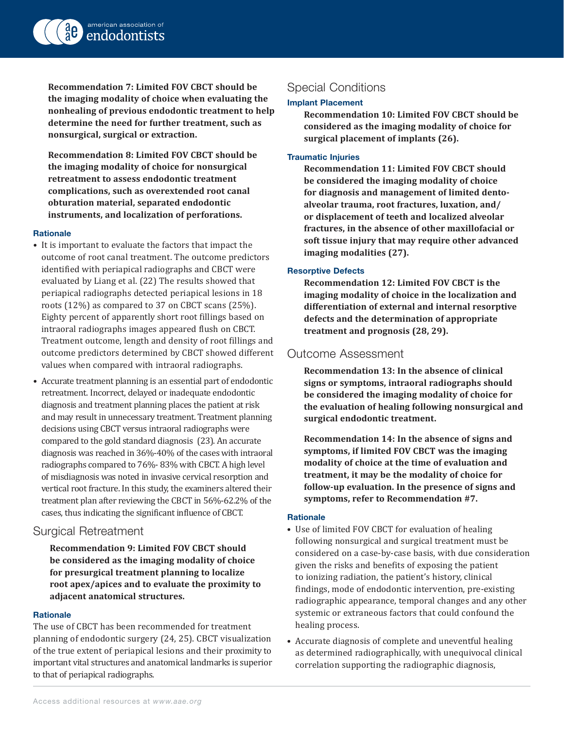**Recommendation 7: Limited FOV CBCT should be the imaging modality of choice when evaluating the nonhealing of previous endodontic treatment to help determine the need for further treatment, such as nonsurgical, surgical or extraction.**

**Recommendation 8: Limited FOV CBCT should be the imaging modality of choice for nonsurgical retreatment to assess endodontic treatment complications, such as overextended root canal obturation material, separated endodontic instruments, and localization of perforations.**

## **Rationale**

- It is important to evaluate the factors that impact the outcome of root canal treatment. The outcome predictors identified with periapical radiographs and CBCT were evaluated by Liang et al. (22) The results showed that periapical radiographs detected periapical lesions in 18 roots (12%) as compared to 37 on CBCT scans (25%). Eighty percent of apparently short root fillings based on intraoral radiographs images appeared flush on CBCT. Treatment outcome, length and density of root fillings and outcome predictors determined by CBCT showed different values when compared with intraoral radiographs.
- Accurate treatment planning is an essential part of endodontic retreatment. Incorrect, delayed or inadequate endodontic diagnosis and treatment planning places the patient at risk and may result in unnecessary treatment. Treatment planning decisions using CBCT versus intraoral radiographs were compared to the gold standard diagnosis (23). An accurate diagnosis was reached in 36%-40% of the cases with intraoral radiographs compared to 76%- 83% with CBCT. A high level of misdiagnosis was noted in invasive cervical resorption and vertical root fracture. In this study, the examiners altered their treatment plan after reviewing the CBCT in 56%-62.2% of the cases, thus indicating the significant influence of CBCT.

# Surgical Retreatment

**Recommendation 9: Limited FOV CBCT should be considered as the imaging modality of choice for presurgical treatment planning to localize root apex/apices and to evaluate the proximity to adjacent anatomical structures.**

# **Rationale**

The use of CBCT has been recommended for treatment planning of endodontic surgery (24, 25). CBCT visualization of the true extent of periapical lesions and their proximity to important vital structures and anatomical landmarks is superior to that of periapical radiographs.

# Special Conditions

# Implant Placement

**Recommendation 10: Limited FOV CBCT should be considered as the imaging modality of choice for surgical placement of implants (26).**

# Traumatic Injuries

**Recommendation 11: Limited FOV CBCT should be considered the imaging modality of choice for diagnosis and management of limited dentoalveolar trauma, root fractures, luxation, and/ or displacement of teeth and localized alveolar fractures, in the absence of other maxillofacial or soft tissue injury that may require other advanced imaging modalities (27).**

# Resorptive Defects

**Recommendation 12: Limited FOV CBCT is the imaging modality of choice in the localization and differentiation of external and internal resorptive defects and the determination of appropriate treatment and prognosis (28, 29).**

# Outcome Assessment

**Recommendation 13: In the absence of clinical signs or symptoms, intraoral radiographs should be considered the imaging modality of choice for the evaluation of healing following nonsurgical and surgical endodontic treatment.**

**Recommendation 14: In the absence of signs and symptoms, if limited FOV CBCT was the imaging modality of choice at the time of evaluation and treatment, it may be the modality of choice for follow-up evaluation. In the presence of signs and symptoms, refer to Recommendation #7.**

# **Rationale**

- Use of limited FOV CBCT for evaluation of healing following nonsurgical and surgical treatment must be considered on a case-by-case basis, with due consideration given the risks and benefits of exposing the patient to ionizing radiation, the patient's history, clinical findings, mode of endodontic intervention, pre-existing radiographic appearance, temporal changes and any other systemic or extraneous factors that could confound the healing process.
- Accurate diagnosis of complete and uneventful healing as determined radiographically, with unequivocal clinical correlation supporting the radiographic diagnosis,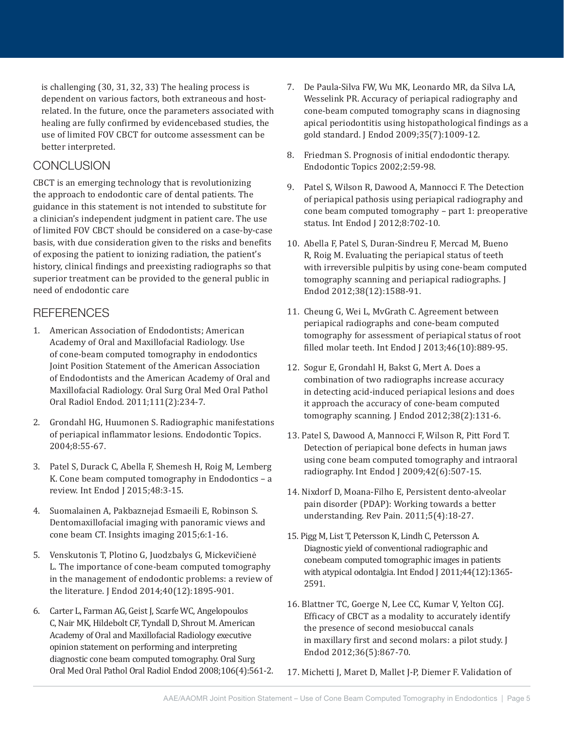is challenging (30, 31, 32, 33) The healing process is dependent on various factors, both extraneous and hostrelated. In the future, once the parameters associated with healing are fully confirmed by evidencebased studies, the use of limited FOV CBCT for outcome assessment can be better interpreted.

# **CONCLUSION**

CBCT is an emerging technology that is revolutionizing the approach to endodontic care of dental patients. The guidance in this statement is not intended to substitute for a clinician's independent judgment in patient care. The use of limited FOV CBCT should be considered on a case-by-case basis, with due consideration given to the risks and benefits of exposing the patient to ionizing radiation, the patient's history, clinical findings and preexisting radiographs so that superior treatment can be provided to the general public in need of endodontic care

# **REFERENCES**

- 1. American Association of Endodontists; American Academy of Oral and Maxillofacial Radiology. Use of cone-beam computed tomography in endodontics Joint Position Statement of the American Association of Endodontists and the American Academy of Oral and Maxillofacial Radiology. Oral Surg Oral Med Oral Pathol Oral Radiol Endod. 2011;111(2):234-7.
- 2. Grondahl HG, Huumonen S. Radiographic manifestations of periapical inflammator lesions. Endodontic Topics. 2004;8:55-67.
- 3. Patel S, Durack C, Abella F, Shemesh H, Roig M, Lemberg K. Cone beam computed tomography in Endodontics – a review. Int Endod J 2015;48:3-15.
- 4. Suomalainen A, Pakbaznejad Esmaeili E, Robinson S. Dentomaxillofacial imaging with panoramic views and cone beam CT. Insights imaging 2015;6:1-16.
- 5. Venskutonis T, Plotino G, Juodzbalys G, Mickevičienė L. The importance of cone-beam computed tomography in the management of endodontic problems: a review of the literature. J Endod 2014;40(12):1895-901.
- 6. Carter L, Farman AG, Geist J, Scarfe WC, Angelopoulos C, Nair MK, Hildebolt CF, Tyndall D, Shrout M. American Academy of Oral and Maxillofacial Radiology executive opinion statement on performing and interpreting diagnostic cone beam computed tomography. Oral Surg Oral Med Oral Pathol Oral Radiol Endod 2008;106(4):561-2.
- 7. De Paula-Silva FW, Wu MK, Leonardo MR, da Silva LA, Wesselink PR. Accuracy of periapical radiography and cone-beam computed tomography scans in diagnosing apical periodontitis using histopathological findings as a gold standard. J Endod 2009;35(7):1009-12.
- 8. Friedman S. Prognosis of initial endodontic therapy. Endodontic Topics 2002;2:59-98.
- 9. Patel S, Wilson R, Dawood A, Mannocci F. The Detection of periapical pathosis using periapical radiography and cone beam computed tomography – part 1: preoperative status. Int Endod J 2012;8:702-10.
- 10. Abella F, Patel S, Duran-Sindreu F, Mercad M, Bueno R, Roig M. Evaluating the periapical status of teeth with irreversible pulpitis by using cone-beam computed tomography scanning and periapical radiographs. J Endod 2012;38(12):1588-91.
- 11. Cheung G, Wei L, MvGrath C. Agreement between periapical radiographs and cone-beam computed tomography for assessment of periapical status of root filled molar teeth. Int Endod J 2013;46(10):889-95.
- 12. Sogur E, Grondahl H, Bakst G, Mert A. Does a combination of two radiographs increase accuracy in detecting acid-induced periapical lesions and does it approach the accuracy of cone-beam computed tomography scanning. J Endod 2012;38(2):131-6.
- 13. Patel S, Dawood A, Mannocci F, Wilson R, Pitt Ford T. Detection of periapical bone defects in human jaws using cone beam computed tomography and intraoral radiography. Int Endod J 2009;42(6):507-15.
- 14. Nixdorf D, Moana-Filho E, Persistent dento-alveolar pain disorder (PDAP): Working towards a better understanding. Rev Pain. 2011;5(4):18-27.
- 15. Pigg M, List T, Petersson K, Lindh C, Petersson A. Diagnostic yield of conventional radiographic and conebeam computed tomographic images in patients with atypical odontalgia. Int Endod J 2011;44(12):1365- 2591.
- 16. Blattner TC, Goerge N, Lee CC, Kumar V, Yelton CGJ. Efficacy of CBCT as a modality to accurately identify the presence of second mesiobuccal canals in maxillary first and second molars: a pilot study. J Endod 2012;36(5):867-70.
- 17. Michetti J, Maret D, Mallet J-P, Diemer F. Validation of